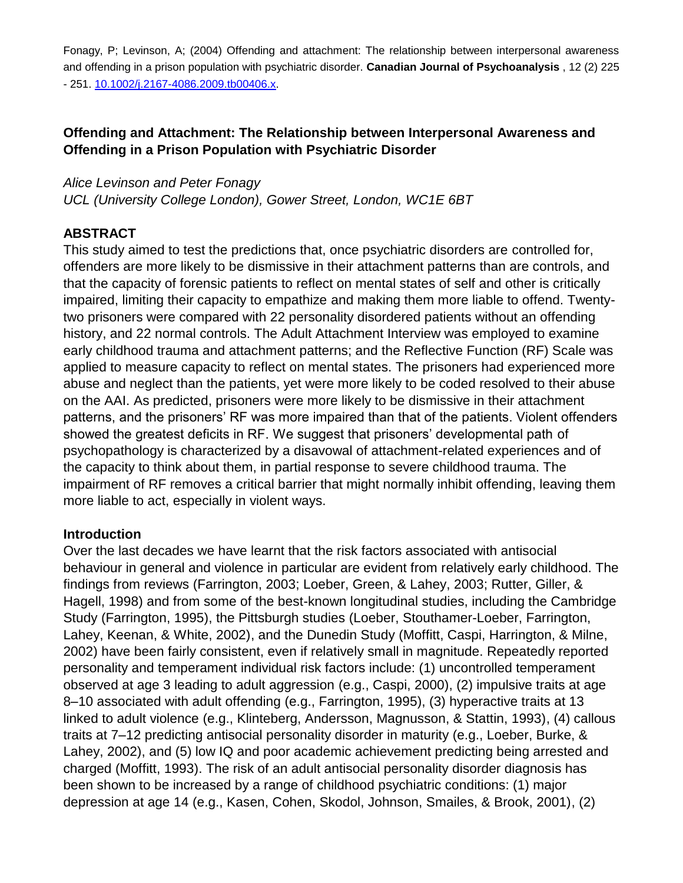Fonagy, P; Levinson, A; (2004) Offending and attachment: The relationship between interpersonal awareness and offending in a prison population with psychiatric disorder. **Canadian Journal of Psychoanalysis** , 12 (2) 225 - 251. 10.1002/j.2167-4086.2009.tb00406.x.

## **Offending and Attachment: The Relationship between Interpersonal Awareness and Offending in a Prison Population with Psychiatric Disorder**

#### *Alice Levinson and Peter Fonagy*

*UCL (University College London), Gower Street, London, WC1E 6BT*

#### **ABSTRACT**

This study aimed to test the predictions that, once psychiatric disorders are controlled for, offenders are more likely to be dismissive in their attachment patterns than are controls, and that the capacity of forensic patients to reflect on mental states of self and other is critically impaired, limiting their capacity to empathize and making them more liable to offend. Twentytwo prisoners were compared with 22 personality disordered patients without an offending history, and 22 normal controls. The Adult Attachment Interview was employed to examine early childhood trauma and attachment patterns; and the Reflective Function (RF) Scale was applied to measure capacity to reflect on mental states. The prisoners had experienced more abuse and neglect than the patients, yet were more likely to be coded resolved to their abuse on the AAI. As predicted, prisoners were more likely to be dismissive in their attachment patterns, and the prisoners' RF was more impaired than that of the patients. Violent offenders showed the greatest deficits in RF. We suggest that prisoners' developmental path of psychopathology is characterized by a disavowal of attachment-related experiences and of the capacity to think about them, in partial response to severe childhood trauma. The impairment of RF removes a critical barrier that might normally inhibit offending, leaving them more liable to act, especially in violent ways.

#### **Introduction**

Over the last decades we have learnt that the risk factors associated with antisocial behaviour in general and violence in particular are evident from relatively early childhood. The findings from reviews (Farrington, 2003; Loeber, Green, & Lahey, 2003; Rutter, Giller, & Hagell, 1998) and from some of the best-known longitudinal studies, including the Cambridge Study (Farrington, 1995), the Pittsburgh studies (Loeber, Stouthamer-Loeber, Farrington, Lahey, Keenan, & White, 2002), and the Dunedin Study (Moffitt, Caspi, Harrington, & Milne, 2002) have been fairly consistent, even if relatively small in magnitude. Repeatedly reported personality and temperament individual risk factors include: (1) uncontrolled temperament observed at age 3 leading to adult aggression (e.g., Caspi, 2000), (2) impulsive traits at age 8–10 associated with adult offending (e.g., Farrington, 1995), (3) hyperactive traits at 13 linked to adult violence (e.g., Klinteberg, Andersson, Magnusson, & Stattin, 1993), (4) callous traits at 7–12 predicting antisocial personality disorder in maturity (e.g., Loeber, Burke, & Lahey, 2002), and (5) low IQ and poor academic achievement predicting being arrested and charged (Moffitt, 1993). The risk of an adult antisocial personality disorder diagnosis has been shown to be increased by a range of childhood psychiatric conditions: (1) major depression at age 14 (e.g., Kasen, Cohen, Skodol, Johnson, Smailes, & Brook, 2001), (2)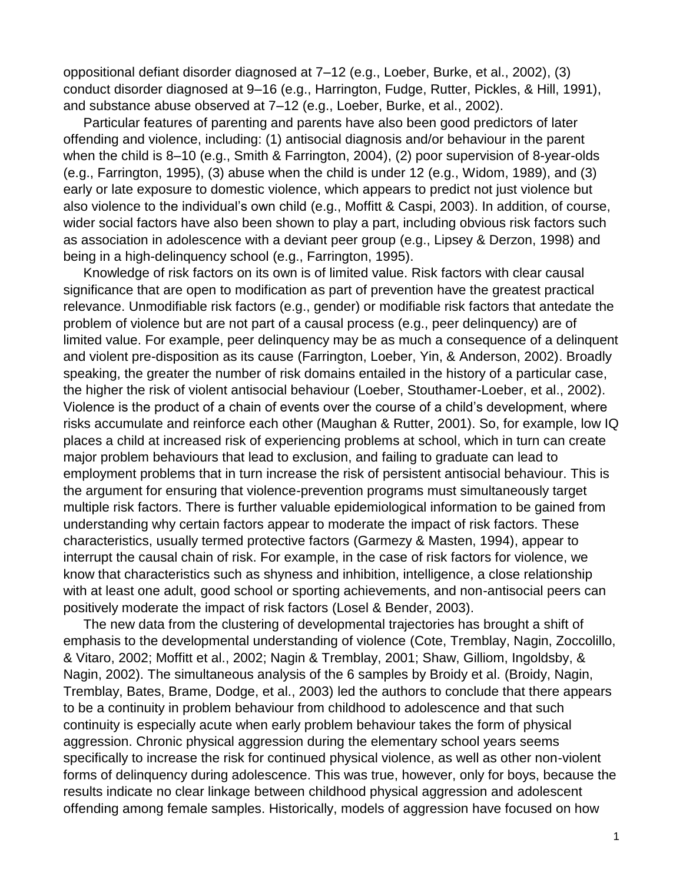oppositional defiant disorder diagnosed at 7–12 (e.g., Loeber, Burke, et al., 2002), (3) conduct disorder diagnosed at 9–16 (e.g., Harrington, Fudge, Rutter, Pickles, & Hill, 1991), and substance abuse observed at 7–12 (e.g., Loeber, Burke, et al., 2002).

Particular features of parenting and parents have also been good predictors of later offending and violence, including: (1) antisocial diagnosis and/or behaviour in the parent when the child is 8–10 (e.g., Smith & Farrington, 2004), (2) poor supervision of 8-year-olds (e.g., Farrington, 1995), (3) abuse when the child is under 12 (e.g., Widom, 1989), and (3) early or late exposure to domestic violence, which appears to predict not just violence but also violence to the individual's own child (e.g., Moffitt & Caspi, 2003). In addition, of course, wider social factors have also been shown to play a part, including obvious risk factors such as association in adolescence with a deviant peer group (e.g., Lipsey & Derzon, 1998) and being in a high-delinquency school (e.g., Farrington, 1995).

Knowledge of risk factors on its own is of limited value. Risk factors with clear causal significance that are open to modification as part of prevention have the greatest practical relevance. Unmodifiable risk factors (e.g., gender) or modifiable risk factors that antedate the problem of violence but are not part of a causal process (e.g., peer delinquency) are of limited value. For example, peer delinquency may be as much a consequence of a delinquent and violent pre-disposition as its cause (Farrington, Loeber, Yin, & Anderson, 2002). Broadly speaking, the greater the number of risk domains entailed in the history of a particular case, the higher the risk of violent antisocial behaviour (Loeber, Stouthamer-Loeber, et al., 2002). Violence is the product of a chain of events over the course of a child's development, where risks accumulate and reinforce each other (Maughan & Rutter, 2001). So, for example, low IQ places a child at increased risk of experiencing problems at school, which in turn can create major problem behaviours that lead to exclusion, and failing to graduate can lead to employment problems that in turn increase the risk of persistent antisocial behaviour. This is the argument for ensuring that violence-prevention programs must simultaneously target multiple risk factors. There is further valuable epidemiological information to be gained from understanding why certain factors appear to moderate the impact of risk factors. These characteristics, usually termed protective factors (Garmezy & Masten, 1994), appear to interrupt the causal chain of risk. For example, in the case of risk factors for violence, we know that characteristics such as shyness and inhibition, intelligence, a close relationship with at least one adult, good school or sporting achievements, and non-antisocial peers can positively moderate the impact of risk factors (Losel & Bender, 2003).

The new data from the clustering of developmental trajectories has brought a shift of emphasis to the developmental understanding of violence (Cote, Tremblay, Nagin, Zoccolillo, & Vitaro, 2002; Moffitt et al., 2002; Nagin & Tremblay, 2001; Shaw, Gilliom, Ingoldsby, & Nagin, 2002). The simultaneous analysis of the 6 samples by Broidy et al. (Broidy, Nagin, Tremblay, Bates, Brame, Dodge, et al., 2003) led the authors to conclude that there appears to be a continuity in problem behaviour from childhood to adolescence and that such continuity is especially acute when early problem behaviour takes the form of physical aggression. Chronic physical aggression during the elementary school years seems specifically to increase the risk for continued physical violence, as well as other non-violent forms of delinquency during adolescence. This was true, however, only for boys, because the results indicate no clear linkage between childhood physical aggression and adolescent offending among female samples. Historically, models of aggression have focused on how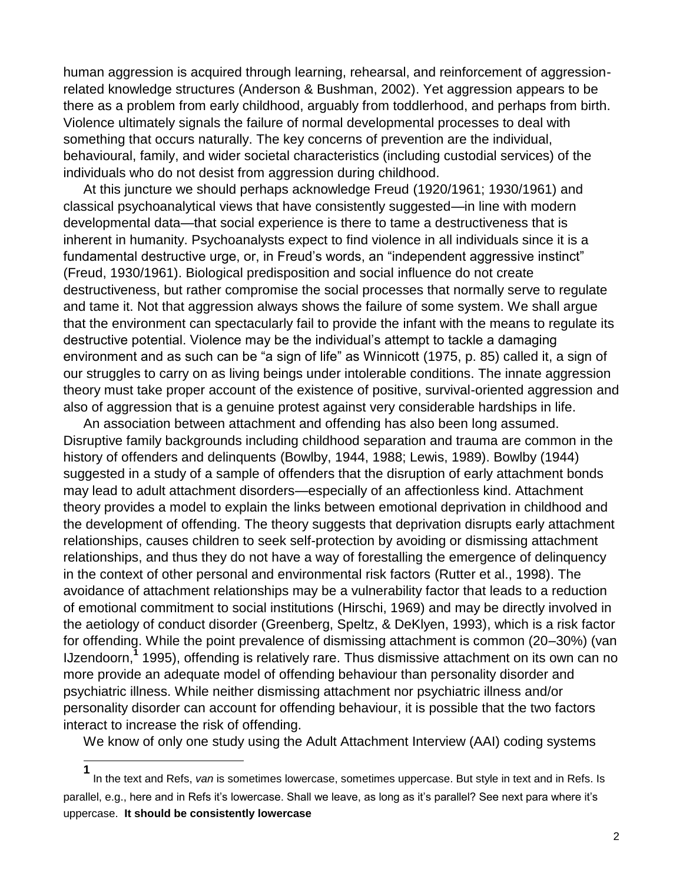human aggression is acquired through learning, rehearsal, and reinforcement of aggressionrelated knowledge structures (Anderson & Bushman, 2002). Yet aggression appears to be there as a problem from early childhood, arguably from toddlerhood, and perhaps from birth. Violence ultimately signals the failure of normal developmental processes to deal with something that occurs naturally. The key concerns of prevention are the individual, behavioural, family, and wider societal characteristics (including custodial services) of the individuals who do not desist from aggression during childhood.

At this juncture we should perhaps acknowledge Freud (1920/1961; 1930/1961) and classical psychoanalytical views that have consistently suggested—in line with modern developmental data—that social experience is there to tame a destructiveness that is inherent in humanity. Psychoanalysts expect to find violence in all individuals since it is a fundamental destructive urge, or, in Freud's words, an "independent aggressive instinct" (Freud, 1930/1961). Biological predisposition and social influence do not create destructiveness, but rather compromise the social processes that normally serve to regulate and tame it. Not that aggression always shows the failure of some system. We shall argue that the environment can spectacularly fail to provide the infant with the means to regulate its destructive potential. Violence may be the individual's attempt to tackle a damaging environment and as such can be "a sign of life" as Winnicott (1975, p. 85) called it, a sign of our struggles to carry on as living beings under intolerable conditions. The innate aggression theory must take proper account of the existence of positive, survival-oriented aggression and also of aggression that is a genuine protest against very considerable hardships in life.

An association between attachment and offending has also been long assumed. Disruptive family backgrounds including childhood separation and trauma are common in the history of offenders and delinquents (Bowlby, 1944, 1988; Lewis, 1989). Bowlby (1944) suggested in a study of a sample of offenders that the disruption of early attachment bonds may lead to adult attachment disorders—especially of an affectionless kind. Attachment theory provides a model to explain the links between emotional deprivation in childhood and the development of offending. The theory suggests that deprivation disrupts early attachment relationships, causes children to seek self-protection by avoiding or dismissing attachment relationships, and thus they do not have a way of forestalling the emergence of delinquency in the context of other personal and environmental risk factors (Rutter et al., 1998). The avoidance of attachment relationships may be a vulnerability factor that leads to a reduction of emotional commitment to social institutions (Hirschi, 1969) and may be directly involved in the aetiology of conduct disorder (Greenberg, Speltz, & DeKlyen, 1993), which is a risk factor for offending. While the point prevalence of dismissing attachment is common (20–30%) (van IJzendoorn,**<sup>1</sup>** 1995), offending is relatively rare. Thus dismissive attachment on its own can no more provide an adequate model of offending behaviour than personality disorder and psychiatric illness. While neither dismissing attachment nor psychiatric illness and/or personality disorder can account for offending behaviour, it is possible that the two factors interact to increase the risk of offending.

We know of only one study using the Adult Attachment Interview (AAI) coding systems

**<sup>1</sup>** In the text and Refs, *van* is sometimes lowercase, sometimes uppercase. But style in text and in Refs. Is parallel, e.g., here and in Refs it's lowercase. Shall we leave, as long as it's parallel? See next para where it's uppercase. **It should be consistently lowercase**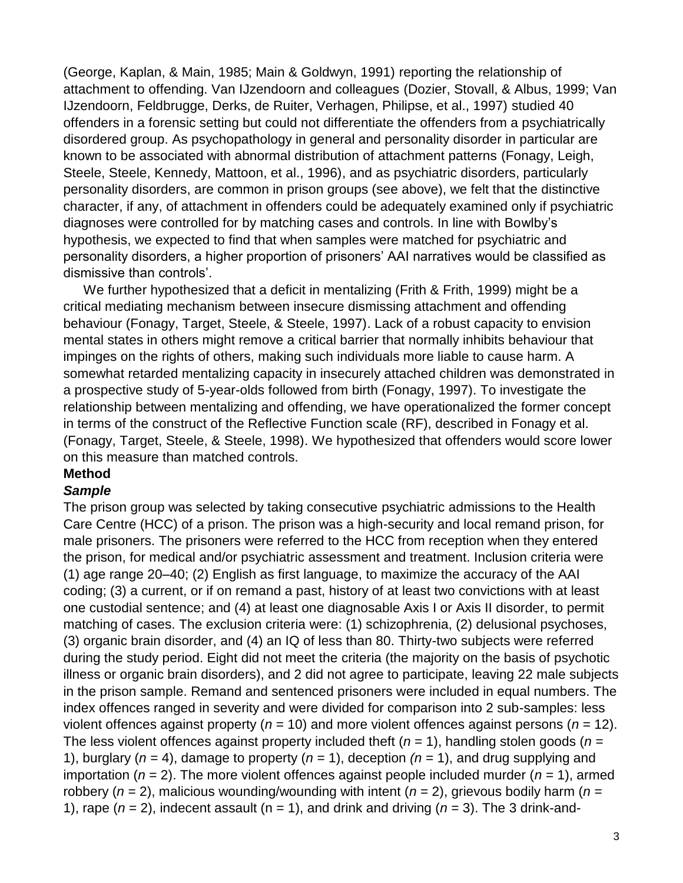(George, Kaplan, & Main, 1985; Main & Goldwyn, 1991) reporting the relationship of attachment to offending. Van IJzendoorn and colleagues (Dozier, Stovall, & Albus, 1999; Van IJzendoorn, Feldbrugge, Derks, de Ruiter, Verhagen, Philipse, et al., 1997) studied 40 offenders in a forensic setting but could not differentiate the offenders from a psychiatrically disordered group. As psychopathology in general and personality disorder in particular are known to be associated with abnormal distribution of attachment patterns (Fonagy, Leigh, Steele, Steele, Kennedy, Mattoon, et al., 1996), and as psychiatric disorders, particularly personality disorders, are common in prison groups (see above), we felt that the distinctive character, if any, of attachment in offenders could be adequately examined only if psychiatric diagnoses were controlled for by matching cases and controls. In line with Bowlby's hypothesis, we expected to find that when samples were matched for psychiatric and personality disorders, a higher proportion of prisoners' AAI narratives would be classified as dismissive than controls'.

We further hypothesized that a deficit in mentalizing (Frith & Frith, 1999) might be a critical mediating mechanism between insecure dismissing attachment and offending behaviour (Fonagy, Target, Steele, & Steele, 1997). Lack of a robust capacity to envision mental states in others might remove a critical barrier that normally inhibits behaviour that impinges on the rights of others, making such individuals more liable to cause harm. A somewhat retarded mentalizing capacity in insecurely attached children was demonstrated in a prospective study of 5-year-olds followed from birth (Fonagy, 1997). To investigate the relationship between mentalizing and offending, we have operationalized the former concept in terms of the construct of the Reflective Function scale (RF), described in Fonagy et al. (Fonagy, Target, Steele, & Steele, 1998). We hypothesized that offenders would score lower on this measure than matched controls.

#### **Method**

#### *Sample*

The prison group was selected by taking consecutive psychiatric admissions to the Health Care Centre (HCC) of a prison. The prison was a high-security and local remand prison, for male prisoners. The prisoners were referred to the HCC from reception when they entered the prison, for medical and/or psychiatric assessment and treatment. Inclusion criteria were (1) age range 20–40; (2) English as first language, to maximize the accuracy of the AAI coding; (3) a current, or if on remand a past, history of at least two convictions with at least one custodial sentence; and (4) at least one diagnosable Axis I or Axis II disorder, to permit matching of cases. The exclusion criteria were: (1) schizophrenia, (2) delusional psychoses, (3) organic brain disorder, and (4) an IQ of less than 80. Thirty-two subjects were referred during the study period. Eight did not meet the criteria (the majority on the basis of psychotic illness or organic brain disorders), and 2 did not agree to participate, leaving 22 male subjects in the prison sample. Remand and sentenced prisoners were included in equal numbers. The index offences ranged in severity and were divided for comparison into 2 sub-samples: less violent offences against property (*n* = 10) and more violent offences against persons (*n* = 12). The less violent offences against property included theft  $(n = 1)$ , handling stolen goods  $(n = 1)$ 1), burglary ( $n = 4$ ), damage to property ( $n = 1$ ), deception ( $n = 1$ ), and drug supplying and importation (*n* = 2). The more violent offences against people included murder (*n* = 1), armed robbery ( $n = 2$ ), malicious wounding/wounding with intent ( $n = 2$ ), grievous bodily harm ( $n = 1$ ) 1), rape  $(n = 2)$ , indecent assault  $(n = 1)$ , and drink and driving  $(n = 3)$ . The 3 drink-and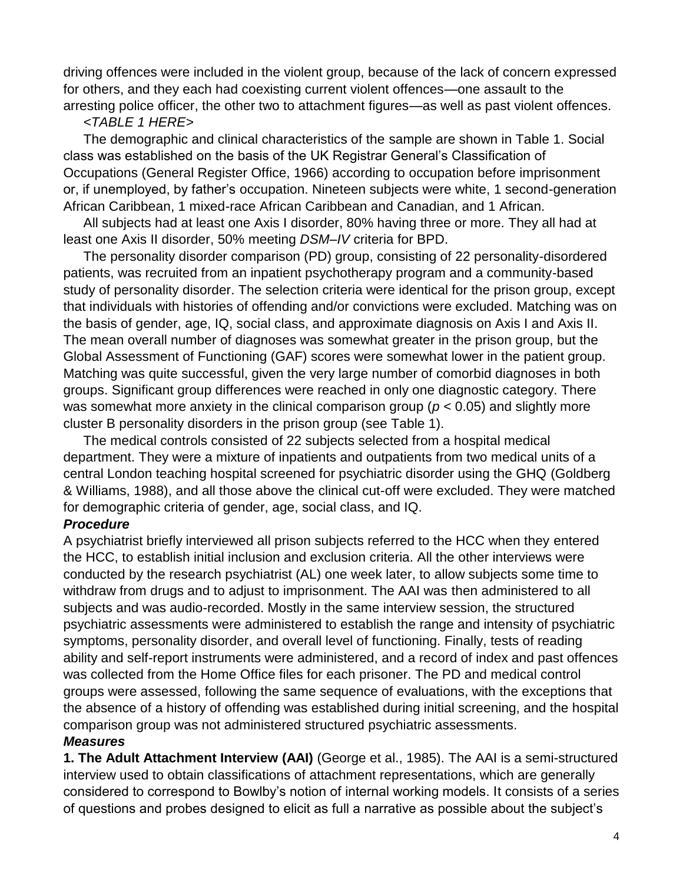driving offences were included in the violent group, because of the lack of concern expressed for others, and they each had coexisting current violent offences—one assault to the arresting police officer, the other two to attachment figures—as well as past violent offences.

## *<TABLE 1 HERE>*

The demographic and clinical characteristics of the sample are shown in Table 1. Social class was established on the basis of the UK Registrar General's Classification of Occupations (General Register Office, 1966) according to occupation before imprisonment or, if unemployed, by father's occupation. Nineteen subjects were white, 1 second-generation African Caribbean, 1 mixed-race African Caribbean and Canadian, and 1 African.

All subjects had at least one Axis I disorder, 80% having three or more. They all had at least one Axis II disorder, 50% meeting *DSM–IV* criteria for BPD.

The personality disorder comparison (PD) group, consisting of 22 personality-disordered patients, was recruited from an inpatient psychotherapy program and a community-based study of personality disorder. The selection criteria were identical for the prison group, except that individuals with histories of offending and/or convictions were excluded. Matching was on the basis of gender, age, IQ, social class, and approximate diagnosis on Axis I and Axis II. The mean overall number of diagnoses was somewhat greater in the prison group, but the Global Assessment of Functioning (GAF) scores were somewhat lower in the patient group. Matching was quite successful, given the very large number of comorbid diagnoses in both groups. Significant group differences were reached in only one diagnostic category. There was somewhat more anxiety in the clinical comparison group (*p* < 0.05) and slightly more cluster B personality disorders in the prison group (see Table 1).

The medical controls consisted of 22 subjects selected from a hospital medical department. They were a mixture of inpatients and outpatients from two medical units of a central London teaching hospital screened for psychiatric disorder using the GHQ (Goldberg & Williams, 1988), and all those above the clinical cut-off were excluded. They were matched for demographic criteria of gender, age, social class, and IQ.

# *Procedure*

A psychiatrist briefly interviewed all prison subjects referred to the HCC when they entered the HCC, to establish initial inclusion and exclusion criteria. All the other interviews were conducted by the research psychiatrist (AL) one week later, to allow subjects some time to withdraw from drugs and to adjust to imprisonment. The AAI was then administered to all subjects and was audio-recorded. Mostly in the same interview session, the structured psychiatric assessments were administered to establish the range and intensity of psychiatric symptoms, personality disorder, and overall level of functioning. Finally, tests of reading ability and self-report instruments were administered, and a record of index and past offences was collected from the Home Office files for each prisoner. The PD and medical control groups were assessed, following the same sequence of evaluations, with the exceptions that the absence of a history of offending was established during initial screening, and the hospital comparison group was not administered structured psychiatric assessments.

# *Measures*

**1. The Adult Attachment Interview (AAI)** (George et al., 1985). The AAI is a semi-structured interview used to obtain classifications of attachment representations, which are generally considered to correspond to Bowlby's notion of internal working models. It consists of a series of questions and probes designed to elicit as full a narrative as possible about the subject's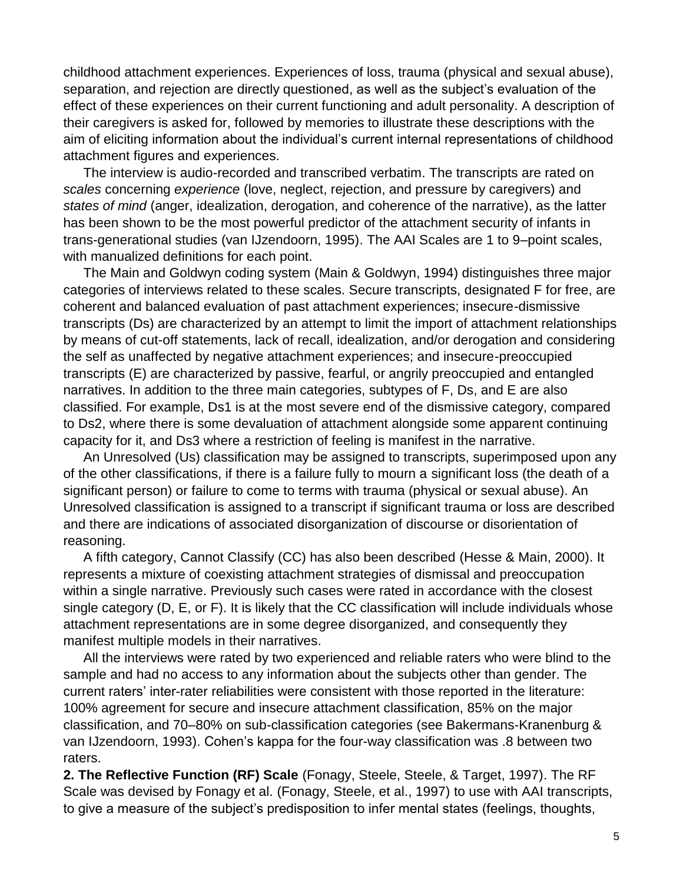childhood attachment experiences. Experiences of loss, trauma (physical and sexual abuse), separation, and rejection are directly questioned, as well as the subject's evaluation of the effect of these experiences on their current functioning and adult personality. A description of their caregivers is asked for, followed by memories to illustrate these descriptions with the aim of eliciting information about the individual's current internal representations of childhood attachment figures and experiences.

The interview is audio-recorded and transcribed verbatim. The transcripts are rated on *scales* concerning *experience* (love, neglect, rejection, and pressure by caregivers) and *states of mind* (anger, idealization, derogation, and coherence of the narrative), as the latter has been shown to be the most powerful predictor of the attachment security of infants in trans-generational studies (van IJzendoorn, 1995). The AAI Scales are 1 to 9–point scales, with manualized definitions for each point.

The Main and Goldwyn coding system (Main & Goldwyn, 1994) distinguishes three major categories of interviews related to these scales. Secure transcripts, designated F for free, are coherent and balanced evaluation of past attachment experiences; insecure-dismissive transcripts (Ds) are characterized by an attempt to limit the import of attachment relationships by means of cut-off statements, lack of recall, idealization, and/or derogation and considering the self as unaffected by negative attachment experiences; and insecure-preoccupied transcripts (E) are characterized by passive, fearful, or angrily preoccupied and entangled narratives. In addition to the three main categories, subtypes of F, Ds, and E are also classified. For example, Ds1 is at the most severe end of the dismissive category, compared to Ds2, where there is some devaluation of attachment alongside some apparent continuing capacity for it, and Ds3 where a restriction of feeling is manifest in the narrative.

An Unresolved (Us) classification may be assigned to transcripts, superimposed upon any of the other classifications, if there is a failure fully to mourn a significant loss (the death of a significant person) or failure to come to terms with trauma (physical or sexual abuse). An Unresolved classification is assigned to a transcript if significant trauma or loss are described and there are indications of associated disorganization of discourse or disorientation of reasoning.

A fifth category, Cannot Classify (CC) has also been described (Hesse & Main, 2000). It represents a mixture of coexisting attachment strategies of dismissal and preoccupation within a single narrative. Previously such cases were rated in accordance with the closest single category (D, E, or F). It is likely that the CC classification will include individuals whose attachment representations are in some degree disorganized, and consequently they manifest multiple models in their narratives.

All the interviews were rated by two experienced and reliable raters who were blind to the sample and had no access to any information about the subjects other than gender. The current raters' inter-rater reliabilities were consistent with those reported in the literature: 100% agreement for secure and insecure attachment classification, 85% on the major classification, and 70–80% on sub-classification categories (see Bakermans-Kranenburg & van IJzendoorn, 1993). Cohen's kappa for the four-way classification was .8 between two raters.

**2. The Reflective Function (RF) Scale** (Fonagy, Steele, Steele, & Target, 1997). The RF Scale was devised by Fonagy et al. (Fonagy, Steele, et al., 1997) to use with AAI transcripts, to give a measure of the subject's predisposition to infer mental states (feelings, thoughts,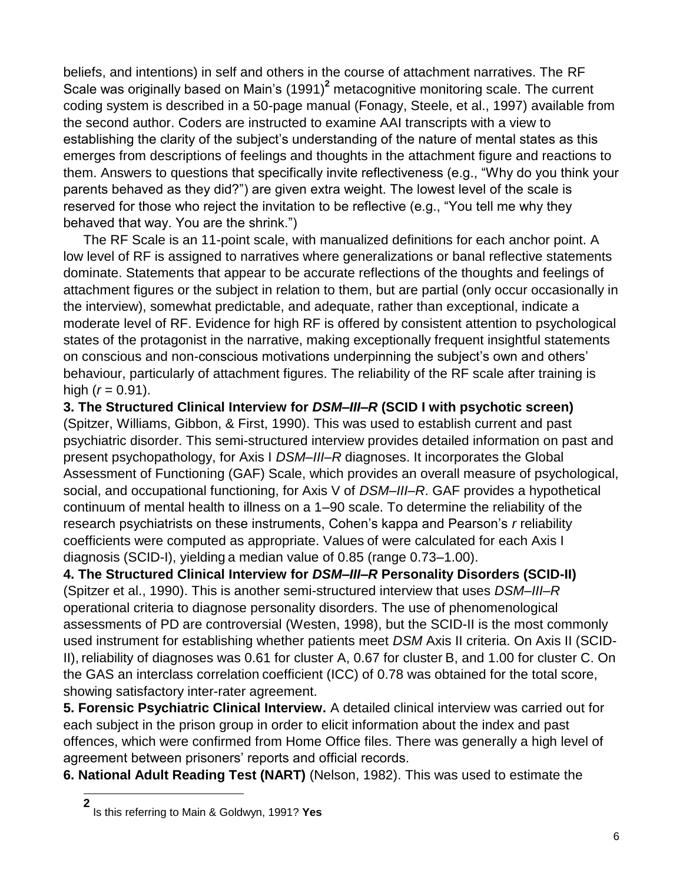beliefs, and intentions) in self and others in the course of attachment narratives. The RF Scale was originally based on Main's (1991)**<sup>2</sup>** metacognitive monitoring scale. The current coding system is described in a 50-page manual (Fonagy, Steele, et al., 1997) available from the second author. Coders are instructed to examine AAI transcripts with a view to establishing the clarity of the subject's understanding of the nature of mental states as this emerges from descriptions of feelings and thoughts in the attachment figure and reactions to them. Answers to questions that specifically invite reflectiveness (e.g., "Why do you think your parents behaved as they did?") are given extra weight. The lowest level of the scale is reserved for those who reject the invitation to be reflective (e.g., "You tell me why they behaved that way. You are the shrink.")

The RF Scale is an 11-point scale, with manualized definitions for each anchor point. A low level of RF is assigned to narratives where generalizations or banal reflective statements dominate. Statements that appear to be accurate reflections of the thoughts and feelings of attachment figures or the subject in relation to them, but are partial (only occur occasionally in the interview), somewhat predictable, and adequate, rather than exceptional, indicate a moderate level of RF. Evidence for high RF is offered by consistent attention to psychological states of the protagonist in the narrative, making exceptionally frequent insightful statements on conscious and non-conscious motivations underpinning the subject's own and others' behaviour, particularly of attachment figures. The reliability of the RF scale after training is high  $(r = 0.91)$ .

**3. The Structured Clinical Interview for** *DSM–III–R* **(SCID I with psychotic screen)**  (Spitzer, Williams, Gibbon, & First, 1990). This was used to establish current and past psychiatric disorder. This semi-structured interview provides detailed information on past and present psychopathology, for Axis I *DSM–III–R* diagnoses. It incorporates the Global Assessment of Functioning (GAF) Scale, which provides an overall measure of psychological, social, and occupational functioning, for Axis V of *DSM–III–R*. GAF provides a hypothetical continuum of mental health to illness on a 1–90 scale. To determine the reliability of the research psychiatrists on these instruments, Cohen's kappa and Pearson's *r* reliability coefficients were computed as appropriate. Values of were calculated for each Axis I diagnosis (SCID-I), yielding a median value of 0.85 (range 0.73–1.00).

**4. The Structured Clinical Interview for** *DSM–III–R* **Personality Disorders (SCID-II)** (Spitzer et al., 1990). This is another semi-structured interview that uses *DSM–III–R* operational criteria to diagnose personality disorders. The use of phenomenological assessments of PD are controversial (Westen, 1998), but the SCID-II is the most commonly used instrument for establishing whether patients meet *DSM* Axis II criteria. On Axis II (SCID-II), reliability of diagnoses was 0.61 for cluster A, 0.67 for cluster B, and 1.00 for cluster C. On the GAS an interclass correlation coefficient (ICC) of 0.78 was obtained for the total score, showing satisfactory inter-rater agreement.

**5. Forensic Psychiatric Clinical Interview.** A detailed clinical interview was carried out for each subject in the prison group in order to elicit information about the index and past offences, which were confirmed from Home Office files. There was generally a high level of agreement between prisoners' reports and official records.

**6. National Adult Reading Test (NART)** (Nelson, 1982). This was used to estimate the

**<sup>2</sup>** Is this referring to Main & Goldwyn, 1991? **Yes**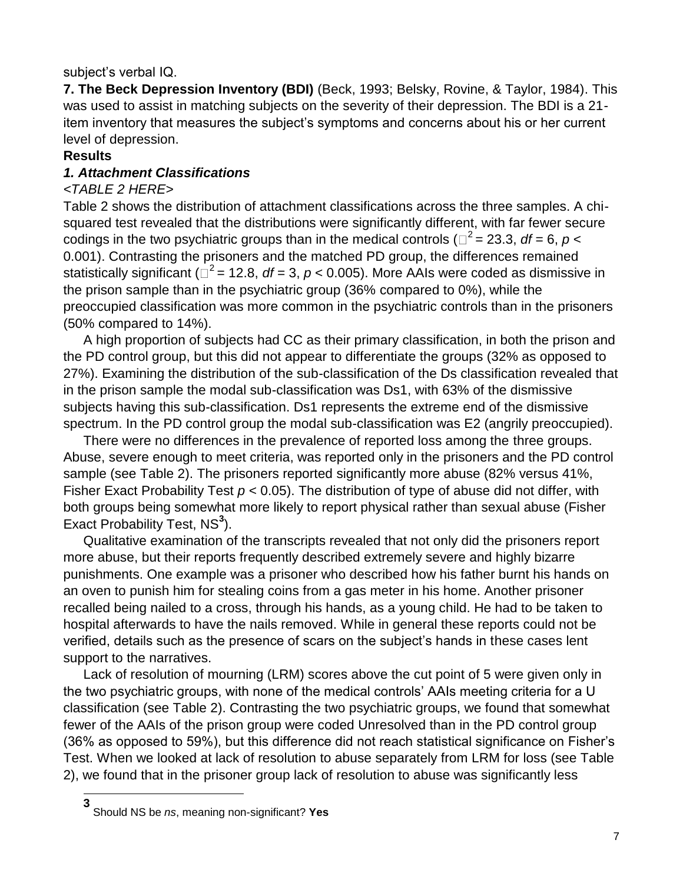## subject's verbal IQ.

**7. The Beck Depression Inventory (BDI)** (Beck, 1993; Belsky, Rovine, & Taylor, 1984). This was used to assist in matching subjects on the severity of their depression. The BDI is a 21 item inventory that measures the subject's symptoms and concerns about his or her current level of depression.

## **Results**

## *1. Attachment Classifications*

## *<TABLE 2 HERE>*

Table 2 shows the distribution of attachment classifications across the three samples. A chisquared test revealed that the distributions were significantly different, with far fewer secure codings in the two psychiatric groups than in the medical controls ( $\Box^2$  = 23.3, *df* = 6, *p* < 0.001). Contrasting the prisoners and the matched PD group, the differences remained statistically significant ( $\Box^2$  = 12.8, *df* = 3, *p* < 0.005). More AAIs were coded as dismissive in the prison sample than in the psychiatric group (36% compared to 0%), while the preoccupied classification was more common in the psychiatric controls than in the prisoners (50% compared to 14%).

A high proportion of subjects had CC as their primary classification, in both the prison and the PD control group, but this did not appear to differentiate the groups (32% as opposed to 27%). Examining the distribution of the sub-classification of the Ds classification revealed that in the prison sample the modal sub-classification was Ds1, with 63% of the dismissive subjects having this sub-classification. Ds1 represents the extreme end of the dismissive spectrum. In the PD control group the modal sub-classification was E2 (angrily preoccupied).

There were no differences in the prevalence of reported loss among the three groups. Abuse, severe enough to meet criteria, was reported only in the prisoners and the PD control sample (see Table 2). The prisoners reported significantly more abuse (82% versus 41%, Fisher Exact Probability Test *p* < 0.05). The distribution of type of abuse did not differ, with both groups being somewhat more likely to report physical rather than sexual abuse (Fisher Exact Probability Test, NS<sup>3</sup>).

Qualitative examination of the transcripts revealed that not only did the prisoners report more abuse, but their reports frequently described extremely severe and highly bizarre punishments. One example was a prisoner who described how his father burnt his hands on an oven to punish him for stealing coins from a gas meter in his home. Another prisoner recalled being nailed to a cross, through his hands, as a young child. He had to be taken to hospital afterwards to have the nails removed. While in general these reports could not be verified, details such as the presence of scars on the subject's hands in these cases lent support to the narratives.

Lack of resolution of mourning (LRM) scores above the cut point of 5 were given only in the two psychiatric groups, with none of the medical controls' AAIs meeting criteria for a U classification (see Table 2). Contrasting the two psychiatric groups, we found that somewhat fewer of the AAIs of the prison group were coded Unresolved than in the PD control group (36% as opposed to 59%), but this difference did not reach statistical significance on Fisher's Test. When we looked at lack of resolution to abuse separately from LRM for loss (see Table 2), we found that in the prisoner group lack of resolution to abuse was significantly less

**<sup>3</sup>** Should NS be *ns*, meaning non-significant? **Yes**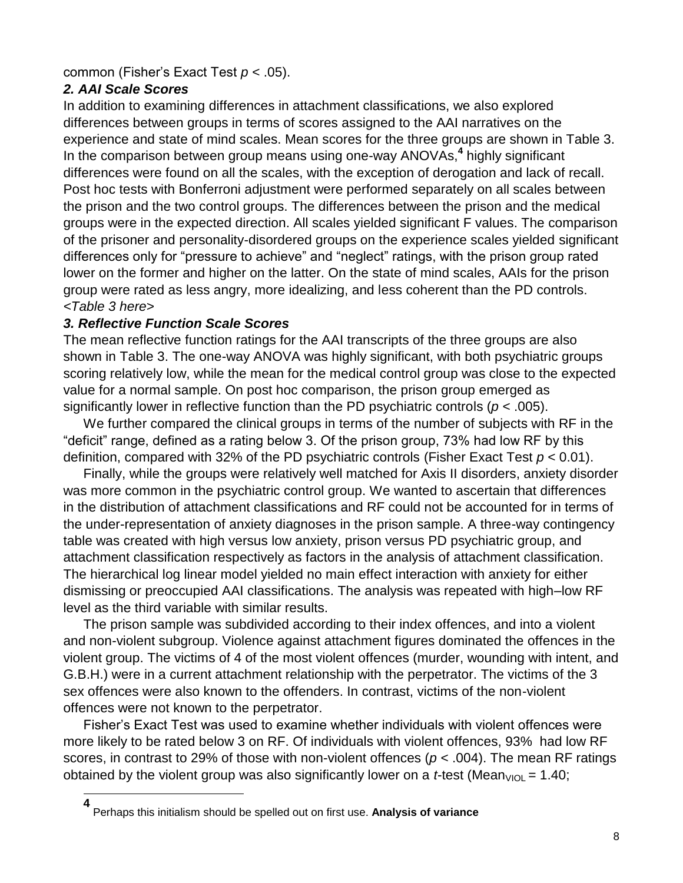### common (Fisher's Exact Test *p* < .05).

# *2. AAI Scale Scores*

l

In addition to examining differences in attachment classifications, we also explored differences between groups in terms of scores assigned to the AAI narratives on the experience and state of mind scales. Mean scores for the three groups are shown in Table 3. In the comparison between group means using one-way ANOVAs,**<sup>4</sup>** highly significant differences were found on all the scales, with the exception of derogation and lack of recall. Post hoc tests with Bonferroni adjustment were performed separately on all scales between the prison and the two control groups. The differences between the prison and the medical groups were in the expected direction. All scales yielded significant F values. The comparison of the prisoner and personality-disordered groups on the experience scales yielded significant differences only for "pressure to achieve" and "neglect" ratings, with the prison group rated lower on the former and higher on the latter. On the state of mind scales, AAIs for the prison group were rated as less angry, more idealizing, and less coherent than the PD controls. *<Table 3 here>*

## *3. Reflective Function Scale Scores*

The mean reflective function ratings for the AAI transcripts of the three groups are also shown in Table 3. The one-way ANOVA was highly significant, with both psychiatric groups scoring relatively low, while the mean for the medical control group was close to the expected value for a normal sample. On post hoc comparison, the prison group emerged as significantly lower in reflective function than the PD psychiatric controls (*p* < .005).

We further compared the clinical groups in terms of the number of subjects with RF in the "deficit" range, defined as a rating below 3. Of the prison group, 73% had low RF by this definition, compared with 32% of the PD psychiatric controls (Fisher Exact Test *p* < 0.01).

Finally, while the groups were relatively well matched for Axis II disorders, anxiety disorder was more common in the psychiatric control group. We wanted to ascertain that differences in the distribution of attachment classifications and RF could not be accounted for in terms of the under-representation of anxiety diagnoses in the prison sample. A three-way contingency table was created with high versus low anxiety, prison versus PD psychiatric group, and attachment classification respectively as factors in the analysis of attachment classification. The hierarchical log linear model yielded no main effect interaction with anxiety for either dismissing or preoccupied AAI classifications. The analysis was repeated with high–low RF level as the third variable with similar results.

The prison sample was subdivided according to their index offences, and into a violent and non-violent subgroup. Violence against attachment figures dominated the offences in the violent group. The victims of 4 of the most violent offences (murder, wounding with intent, and G.B.H.) were in a current attachment relationship with the perpetrator. The victims of the 3 sex offences were also known to the offenders. In contrast, victims of the non-violent offences were not known to the perpetrator.

Fisher's Exact Test was used to examine whether individuals with violent offences were more likely to be rated below 3 on RF. Of individuals with violent offences, 93% had low RF scores, in contrast to 29% of those with non-violent offences (*p* < .004). The mean RF ratings obtained by the violent group was also significantly lower on a *t*-test (Mean<sub>VIOL</sub> = 1.40;

**<sup>4</sup>** Perhaps this initialism should be spelled out on first use. **Analysis of variance**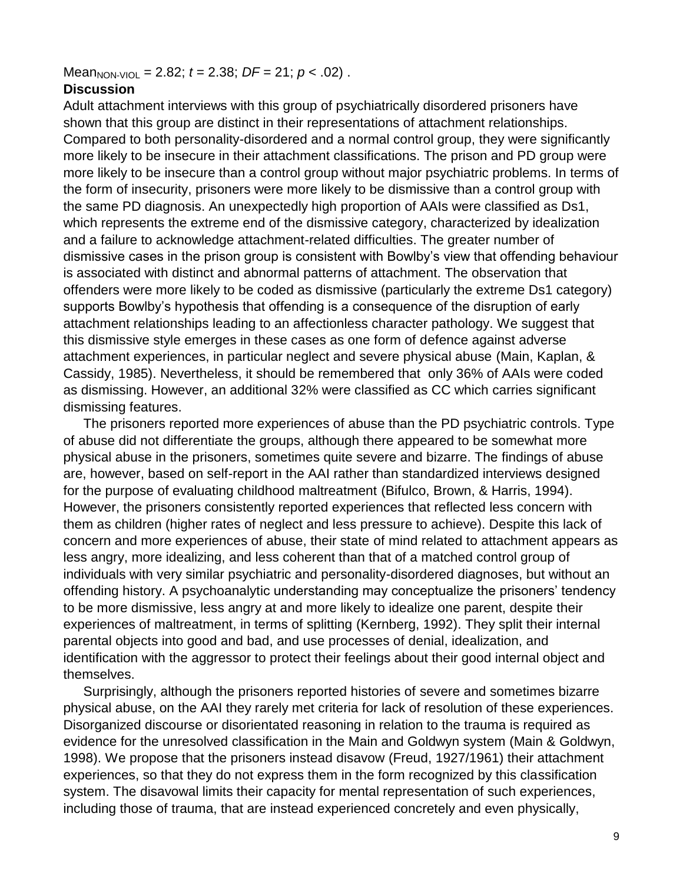$Mean_{NON\text{-}VIOL} = 2.82$ ;  $t = 2.38$ ;  $DF = 21$ ;  $p < .02$ ).

#### **Discussion**

Adult attachment interviews with this group of psychiatrically disordered prisoners have shown that this group are distinct in their representations of attachment relationships. Compared to both personality-disordered and a normal control group, they were significantly more likely to be insecure in their attachment classifications. The prison and PD group were more likely to be insecure than a control group without major psychiatric problems. In terms of the form of insecurity, prisoners were more likely to be dismissive than a control group with the same PD diagnosis. An unexpectedly high proportion of AAIs were classified as Ds1, which represents the extreme end of the dismissive category, characterized by idealization and a failure to acknowledge attachment-related difficulties. The greater number of dismissive cases in the prison group is consistent with Bowlby's view that offending behaviour is associated with distinct and abnormal patterns of attachment. The observation that offenders were more likely to be coded as dismissive (particularly the extreme Ds1 category) supports Bowlby's hypothesis that offending is a consequence of the disruption of early attachment relationships leading to an affectionless character pathology. We suggest that this dismissive style emerges in these cases as one form of defence against adverse attachment experiences, in particular neglect and severe physical abuse (Main, Kaplan, & Cassidy, 1985). Nevertheless, it should be remembered that only 36% of AAIs were coded as dismissing. However, an additional 32% were classified as CC which carries significant dismissing features.

The prisoners reported more experiences of abuse than the PD psychiatric controls. Type of abuse did not differentiate the groups, although there appeared to be somewhat more physical abuse in the prisoners, sometimes quite severe and bizarre. The findings of abuse are, however, based on self-report in the AAI rather than standardized interviews designed for the purpose of evaluating childhood maltreatment (Bifulco, Brown, & Harris, 1994). However, the prisoners consistently reported experiences that reflected less concern with them as children (higher rates of neglect and less pressure to achieve). Despite this lack of concern and more experiences of abuse, their state of mind related to attachment appears as less angry, more idealizing, and less coherent than that of a matched control group of individuals with very similar psychiatric and personality-disordered diagnoses, but without an offending history. A psychoanalytic understanding may conceptualize the prisoners' tendency to be more dismissive, less angry at and more likely to idealize one parent, despite their experiences of maltreatment, in terms of splitting (Kernberg, 1992). They split their internal parental objects into good and bad, and use processes of denial, idealization, and identification with the aggressor to protect their feelings about their good internal object and themselves.

Surprisingly, although the prisoners reported histories of severe and sometimes bizarre physical abuse, on the AAI they rarely met criteria for lack of resolution of these experiences. Disorganized discourse or disorientated reasoning in relation to the trauma is required as evidence for the unresolved classification in the Main and Goldwyn system (Main & Goldwyn, 1998). We propose that the prisoners instead disavow (Freud, 1927/1961) their attachment experiences, so that they do not express them in the form recognized by this classification system. The disavowal limits their capacity for mental representation of such experiences, including those of trauma, that are instead experienced concretely and even physically,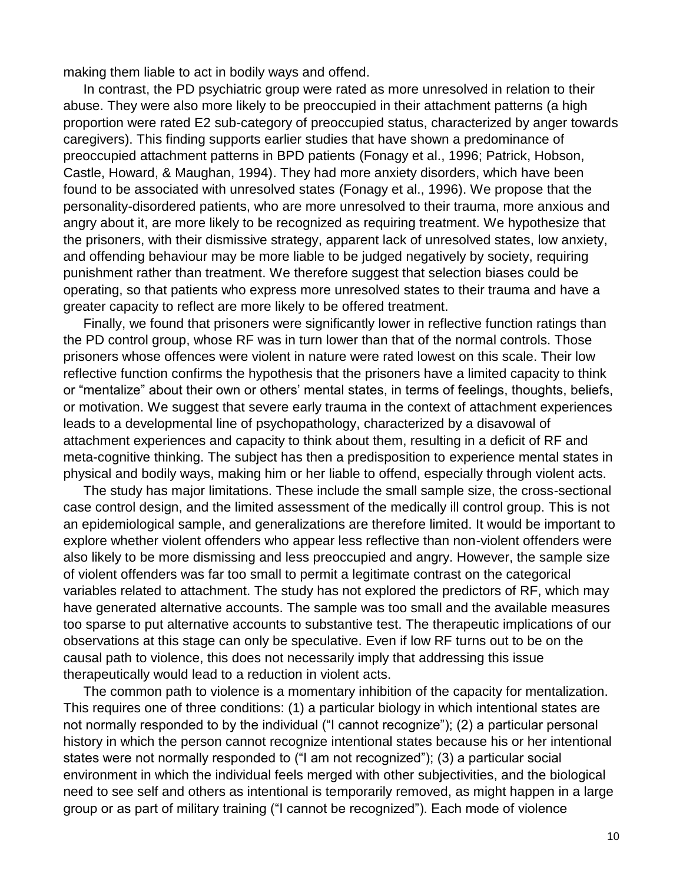making them liable to act in bodily ways and offend.

In contrast, the PD psychiatric group were rated as more unresolved in relation to their abuse. They were also more likely to be preoccupied in their attachment patterns (a high proportion were rated E2 sub-category of preoccupied status, characterized by anger towards caregivers). This finding supports earlier studies that have shown a predominance of preoccupied attachment patterns in BPD patients (Fonagy et al., 1996; Patrick, Hobson, Castle, Howard, & Maughan, 1994). They had more anxiety disorders, which have been found to be associated with unresolved states (Fonagy et al., 1996). We propose that the personality-disordered patients, who are more unresolved to their trauma, more anxious and angry about it, are more likely to be recognized as requiring treatment. We hypothesize that the prisoners, with their dismissive strategy, apparent lack of unresolved states, low anxiety, and offending behaviour may be more liable to be judged negatively by society, requiring punishment rather than treatment. We therefore suggest that selection biases could be operating, so that patients who express more unresolved states to their trauma and have a greater capacity to reflect are more likely to be offered treatment.

Finally, we found that prisoners were significantly lower in reflective function ratings than the PD control group, whose RF was in turn lower than that of the normal controls. Those prisoners whose offences were violent in nature were rated lowest on this scale. Their low reflective function confirms the hypothesis that the prisoners have a limited capacity to think or "mentalize" about their own or others' mental states, in terms of feelings, thoughts, beliefs, or motivation. We suggest that severe early trauma in the context of attachment experiences leads to a developmental line of psychopathology, characterized by a disavowal of attachment experiences and capacity to think about them, resulting in a deficit of RF and meta-cognitive thinking. The subject has then a predisposition to experience mental states in physical and bodily ways, making him or her liable to offend, especially through violent acts.

The study has major limitations. These include the small sample size, the cross-sectional case control design, and the limited assessment of the medically ill control group. This is not an epidemiological sample, and generalizations are therefore limited. It would be important to explore whether violent offenders who appear less reflective than non-violent offenders were also likely to be more dismissing and less preoccupied and angry. However, the sample size of violent offenders was far too small to permit a legitimate contrast on the categorical variables related to attachment. The study has not explored the predictors of RF, which may have generated alternative accounts. The sample was too small and the available measures too sparse to put alternative accounts to substantive test. The therapeutic implications of our observations at this stage can only be speculative. Even if low RF turns out to be on the causal path to violence, this does not necessarily imply that addressing this issue therapeutically would lead to a reduction in violent acts.

The common path to violence is a momentary inhibition of the capacity for mentalization. This requires one of three conditions: (1) a particular biology in which intentional states are not normally responded to by the individual ("I cannot recognize"); (2) a particular personal history in which the person cannot recognize intentional states because his or her intentional states were not normally responded to ("I am not recognized"); (3) a particular social environment in which the individual feels merged with other subjectivities, and the biological need to see self and others as intentional is temporarily removed, as might happen in a large group or as part of military training ("I cannot be recognized"). Each mode of violence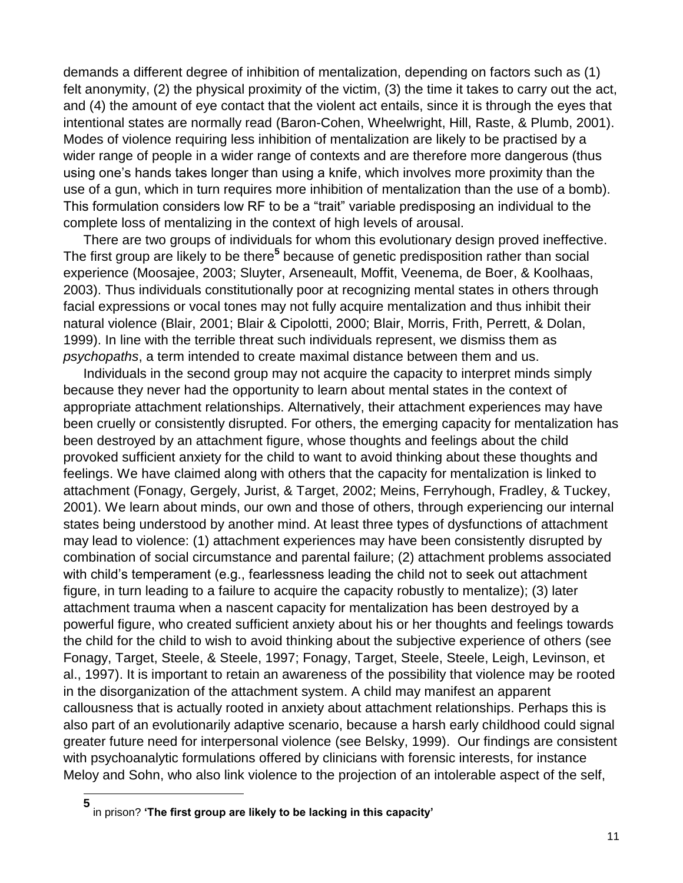demands a different degree of inhibition of mentalization, depending on factors such as (1) felt anonymity, (2) the physical proximity of the victim, (3) the time it takes to carry out the act, and (4) the amount of eye contact that the violent act entails, since it is through the eyes that intentional states are normally read (Baron-Cohen, Wheelwright, Hill, Raste, & Plumb, 2001). Modes of violence requiring less inhibition of mentalization are likely to be practised by a wider range of people in a wider range of contexts and are therefore more dangerous (thus using one's hands takes longer than using a knife, which involves more proximity than the use of a gun, which in turn requires more inhibition of mentalization than the use of a bomb). This formulation considers low RF to be a "trait" variable predisposing an individual to the complete loss of mentalizing in the context of high levels of arousal.

There are two groups of individuals for whom this evolutionary design proved ineffective. The first group are likely to be there**<sup>5</sup>** because of genetic predisposition rather than social experience (Moosajee, 2003; Sluyter, Arseneault, Moffit, Veenema, de Boer, & Koolhaas, 2003). Thus individuals constitutionally poor at recognizing mental states in others through facial expressions or vocal tones may not fully acquire mentalization and thus inhibit their natural violence (Blair, 2001; Blair & Cipolotti, 2000; Blair, Morris, Frith, Perrett, & Dolan, 1999). In line with the terrible threat such individuals represent, we dismiss them as *psychopaths*, a term intended to create maximal distance between them and us.

Individuals in the second group may not acquire the capacity to interpret minds simply because they never had the opportunity to learn about mental states in the context of appropriate attachment relationships. Alternatively, their attachment experiences may have been cruelly or consistently disrupted. For others, the emerging capacity for mentalization has been destroyed by an attachment figure, whose thoughts and feelings about the child provoked sufficient anxiety for the child to want to avoid thinking about these thoughts and feelings. We have claimed along with others that the capacity for mentalization is linked to attachment (Fonagy, Gergely, Jurist, & Target, 2002; Meins, Ferryhough, Fradley, & Tuckey, 2001). We learn about minds, our own and those of others, through experiencing our internal states being understood by another mind. At least three types of dysfunctions of attachment may lead to violence: (1) attachment experiences may have been consistently disrupted by combination of social circumstance and parental failure; (2) attachment problems associated with child's temperament (e.g., fearlessness leading the child not to seek out attachment figure, in turn leading to a failure to acquire the capacity robustly to mentalize); (3) later attachment trauma when a nascent capacity for mentalization has been destroyed by a powerful figure, who created sufficient anxiety about his or her thoughts and feelings towards the child for the child to wish to avoid thinking about the subjective experience of others (see Fonagy, Target, Steele, & Steele, 1997; Fonagy, Target, Steele, Steele, Leigh, Levinson, et al., 1997). It is important to retain an awareness of the possibility that violence may be rooted in the disorganization of the attachment system. A child may manifest an apparent callousness that is actually rooted in anxiety about attachment relationships. Perhaps this is also part of an evolutionarily adaptive scenario, because a harsh early childhood could signal greater future need for interpersonal violence (see Belsky, 1999). Our findings are consistent with psychoanalytic formulations offered by clinicians with forensic interests, for instance Meloy and Sohn, who also link violence to the projection of an intolerable aspect of the self,

**<sup>5</sup>** in prison? **'The first group are likely to be lacking in this capacity'**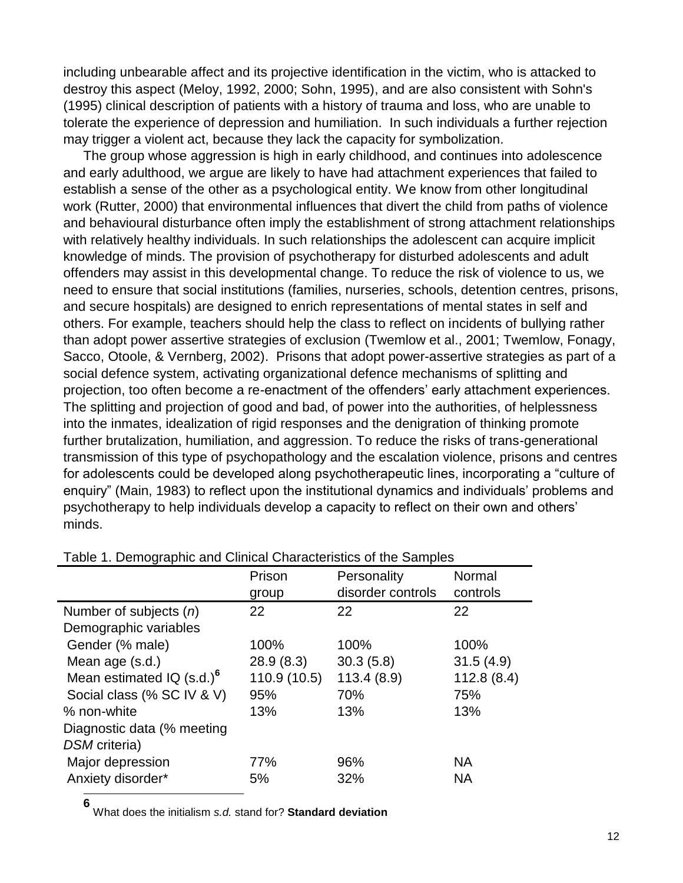including unbearable affect and its projective identification in the victim, who is attacked to destroy this aspect (Meloy, 1992, 2000; Sohn, 1995), and are also consistent with Sohn's (1995) clinical description of patients with a history of trauma and loss, who are unable to tolerate the experience of depression and humiliation. In such individuals a further rejection may trigger a violent act, because they lack the capacity for symbolization.

The group whose aggression is high in early childhood, and continues into adolescence and early adulthood, we argue are likely to have had attachment experiences that failed to establish a sense of the other as a psychological entity. We know from other longitudinal work (Rutter, 2000) that environmental influences that divert the child from paths of violence and behavioural disturbance often imply the establishment of strong attachment relationships with relatively healthy individuals. In such relationships the adolescent can acquire implicit knowledge of minds. The provision of psychotherapy for disturbed adolescents and adult offenders may assist in this developmental change. To reduce the risk of violence to us, we need to ensure that social institutions (families, nurseries, schools, detention centres, prisons, and secure hospitals) are designed to enrich representations of mental states in self and others. For example, teachers should help the class to reflect on incidents of bullying rather than adopt power assertive strategies of exclusion (Twemlow et al., 2001; Twemlow, Fonagy, Sacco, Otoole, & Vernberg, 2002). Prisons that adopt power-assertive strategies as part of a social defence system, activating organizational defence mechanisms of splitting and projection, too often become a re-enactment of the offenders' early attachment experiences. The splitting and projection of good and bad, of power into the authorities, of helplessness into the inmates, idealization of rigid responses and the denigration of thinking promote further brutalization, humiliation, and aggression. To reduce the risks of trans-generational transmission of this type of psychopathology and the escalation violence, prisons and centres for adolescents could be developed along psychotherapeutic lines, incorporating a "culture of enquiry" (Main, 1983) to reflect upon the institutional dynamics and individuals' problems and psychotherapy to help individuals develop a capacity to reflect on their own and others' minds.

|                                         | Prison       | Personality       | Normal     |
|-----------------------------------------|--------------|-------------------|------------|
|                                         | group        | disorder controls | controls   |
| Number of subjects $(n)$                | 22           | 22                | 22         |
| Demographic variables                   |              |                   |            |
| Gender (% male)                         | 100%         | 100%              | 100%       |
| Mean age (s.d.)                         | 28.9(8.3)    | 30.3(5.8)         | 31.5(4.9)  |
| Mean estimated $IQ$ (s.d.) <sup>6</sup> | 110.9 (10.5) | 113.4(8.9)        | 112.8(8.4) |
| Social class (% SC IV & V)              | 95%          | 70%               | 75%        |
| % non-white                             | 13%          | 13%               | 13%        |
| Diagnostic data (% meeting              |              |                   |            |
| DSM criteria)                           |              |                   |            |
| Major depression                        | 77%          | 96%               | <b>NA</b>  |
| Anxiety disorder*                       | 5%           | 32%               | <b>NA</b>  |
|                                         |              |                   |            |

#### Table 1. Demographic and Clinical Characteristics of the Samples

**6** What does the initialism *s.d.* stand for? **Standard deviation**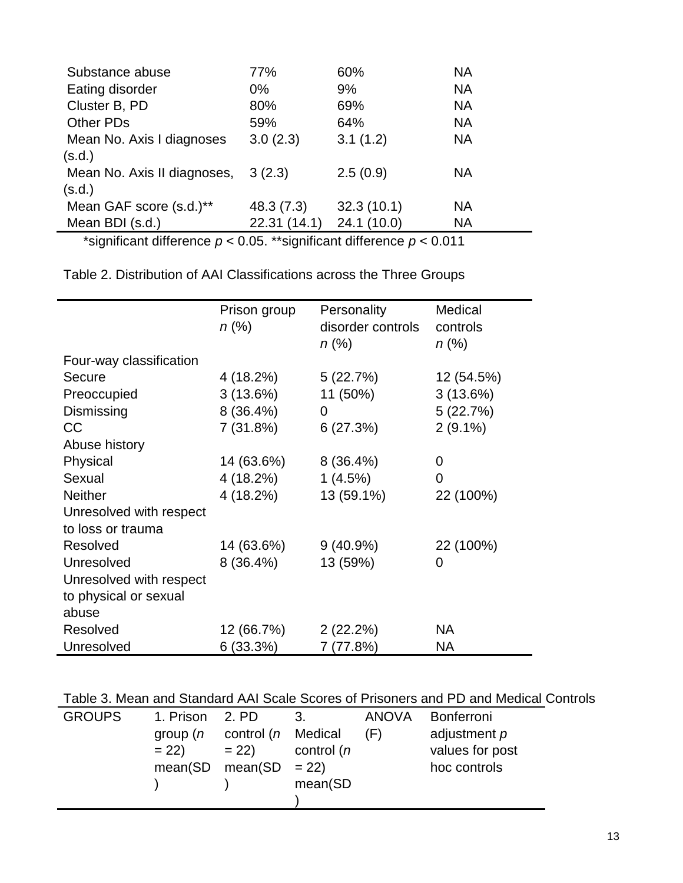| Substance abuse                     | 77%          | 60%        | <b>NA</b> |
|-------------------------------------|--------------|------------|-----------|
| Eating disorder                     | $0\%$        | 9%         | <b>NA</b> |
| Cluster B, PD                       | 80%          | 69%        | <b>NA</b> |
| <b>Other PDs</b>                    | 59%          | 64%        | <b>NA</b> |
| Mean No. Axis I diagnoses           | 3.0(2.3)     | 3.1(1.2)   | <b>NA</b> |
| (s.d.)                              |              |            |           |
| Mean No. Axis II diagnoses, 3 (2.3) |              | 2.5(0.9)   | <b>NA</b> |
| (s.d.)                              |              |            |           |
| Mean GAF score (s.d.)**             | 48.3 (7.3)   | 32.3(10.1) | <b>NA</b> |
| Mean BDI (s.d.)                     | 22.31 (14.1) | 24.1(10.0) | <b>NA</b> |
|                                     |              |            |           |

\*significant difference *p* < 0.05. \*\*significant difference *p* < 0.011

| Table 2. Distribution of AAI Classifications across the Three Groups |  |
|----------------------------------------------------------------------|--|
|----------------------------------------------------------------------|--|

|                         | Prison group<br>$n (\%)$ | Personality<br>disorder controls<br>$n (\%)$ | Medical<br>controls<br>$n (\%)$ |
|-------------------------|--------------------------|----------------------------------------------|---------------------------------|
| Four-way classification |                          |                                              |                                 |
| Secure                  | 4 (18.2%)                | 5(22.7%)                                     | 12 (54.5%)                      |
| Preoccupied             | $3(13.6\%)$              | 11 (50%)                                     | 3(13.6%)                        |
| Dismissing              | $8(36.4\%)$              | 0                                            | 5(22.7%)                        |
| <b>CC</b>               | 7(31.8%)                 | 6(27.3%)                                     | $2(9.1\%)$                      |
| Abuse history           |                          |                                              |                                 |
| Physical                | 14 (63.6%)               | $8(36.4\%)$                                  | 0                               |
| Sexual                  | 4 (18.2%)                | 1(4.5%)                                      | 0                               |
| <b>Neither</b>          | 4 (18.2%)                | 13 (59.1%)                                   | 22 (100%)                       |
| Unresolved with respect |                          |                                              |                                 |
| to loss or trauma       |                          |                                              |                                 |
| Resolved                | 14 (63.6%)               | $9(40.9\%)$                                  | 22 (100%)                       |
| Unresolved              | $8(36.4\%)$              | 13 (59%)                                     | 0                               |
| Unresolved with respect |                          |                                              |                                 |
| to physical or sexual   |                          |                                              |                                 |
| abuse                   |                          |                                              |                                 |
| Resolved                | 12 (66.7%)               | 2(22.2%)                                     | <b>NA</b>                       |
| Unresolved              | 6(33.3%)                 | 7 (77.8%)                                    | NA                              |

Table 3. Mean and Standard AAI Scale Scores of Prisoners and PD and Medical Controls

| <b>GROUPS</b> | 1. Prison<br>group $(n)$<br>$= 22$<br>mean(SD | 2. PD<br>control (n Medical<br>$= 22$<br>$mean(SD = 22)$ | 3.<br>control (n | ANOVA<br>(F) | Bonferroni<br>adjustment p<br>values for post<br>hoc controls |
|---------------|-----------------------------------------------|----------------------------------------------------------|------------------|--------------|---------------------------------------------------------------|
|               |                                               |                                                          | mean(SD          |              |                                                               |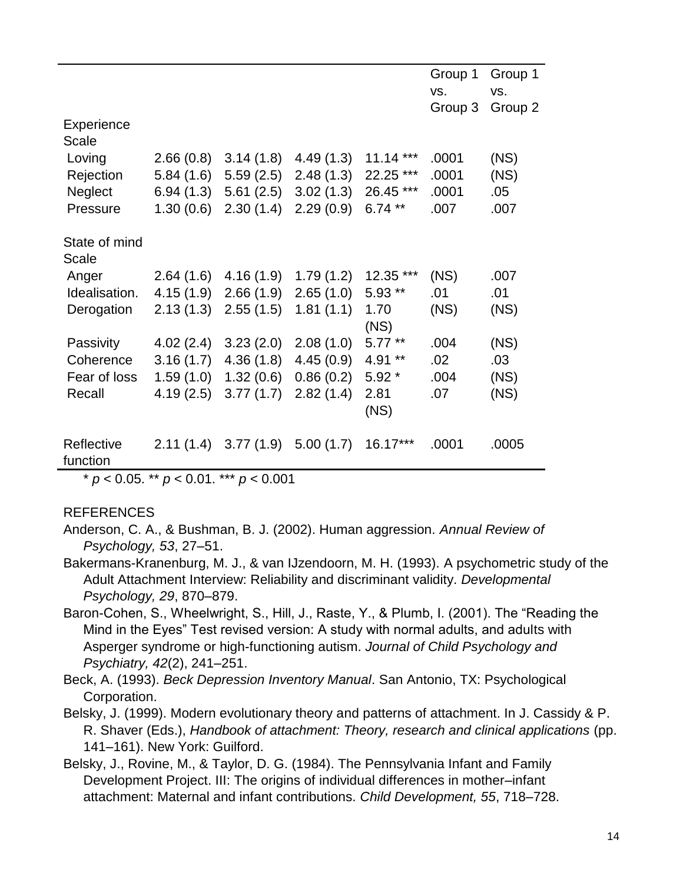|                            |           |           |           |              | Group 1<br>VS. | Group 1<br>VS. |
|----------------------------|-----------|-----------|-----------|--------------|----------------|----------------|
|                            |           |           |           |              | Group 3        | Group 2        |
| Experience<br><b>Scale</b> |           |           |           |              |                |                |
| Loving                     | 2.66(0.8) | 3.14(1.8) | 4.49(1.3) | $11.14***$   | .0001          | (NS)           |
| Rejection                  | 5.84(1.6) | 5.59(2.5) | 2.48(1.3) | 22.25 ***    | .0001          | (NS)           |
| <b>Neglect</b>             | 6.94(1.3) | 5.61(2.5) | 3.02(1.3) | 26.45 ***    | .0001          | .05            |
| Pressure                   | 1.30(0.6) | 2.30(1.4) | 2.29(0.9) | $6.74**$     | .007           | .007           |
| State of mind              |           |           |           |              |                |                |
| <b>Scale</b>               |           |           |           |              |                |                |
| Anger                      | 2.64(1.6) | 4.16(1.9) | 1.79(1.2) | 12.35 ***    | (NS)           | .007           |
| Idealisation.              | 4.15(1.9) | 2.66(1.9) | 2.65(1.0) | $5.93**$     | .01            | .01            |
| Derogation                 | 2.13(1.3) | 2.55(1.5) | 1.81(1.1) | 1.70<br>(NS) | (NS)           | (NS)           |
| Passivity                  | 4.02(2.4) | 3.23(2.0) | 2.08(1.0) | $5.77**$     | .004           | (NS)           |
| Coherence                  | 3.16(1.7) | 4.36(1.8) | 4.45(0.9) | 4.91 **      | .02            | .03            |
| Fear of loss               | 1.59(1.0) | 1.32(0.6) | 0.86(0.2) | $5.92*$      | .004           | (NS)           |
| Recall                     | 4.19(2.5) | 3.77(1.7) | 2.82(1.4) | 2.81<br>(NS) | .07            | (NS)           |
| Reflective<br>function     | 2.11(1.4) | 3.77(1.9) | 5.00(1.7) | 16.17***     | .0001          | .0005          |

\* *p* < 0.05. \*\* *p* < 0.01. \*\*\* *p* < 0.001

#### REFERENCES

- Anderson, C. A., & Bushman, B. J. (2002). Human aggression. *Annual Review of Psychology, 53*, 27–51.
- Bakermans-Kranenburg, M. J., & van IJzendoorn, M. H. (1993). A psychometric study of the Adult Attachment Interview: Reliability and discriminant validity. *Developmental Psychology, 29*, 870–879.
- Baron-Cohen, S., Wheelwright, S., Hill, J., Raste, Y., & Plumb, I. (2001). The "Reading the Mind in the Eyes" Test revised version: A study with normal adults, and adults with Asperger syndrome or high-functioning autism. *Journal of Child Psychology and Psychiatry, 42*(2), 241–251.
- Beck, A. (1993). *Beck Depression Inventory Manual*. San Antonio, TX: Psychological Corporation.
- Belsky, J. (1999). Modern evolutionary theory and patterns of attachment. In J. Cassidy & P. R. Shaver (Eds.), *Handbook of attachment: Theory, research and clinical applications* (pp. 141–161). New York: Guilford.
- Belsky, J., Rovine, M., & Taylor, D. G. (1984). The Pennsylvania Infant and Family Development Project. III: The origins of individual differences in mother–infant attachment: Maternal and infant contributions. *Child Development, 55*, 718–728.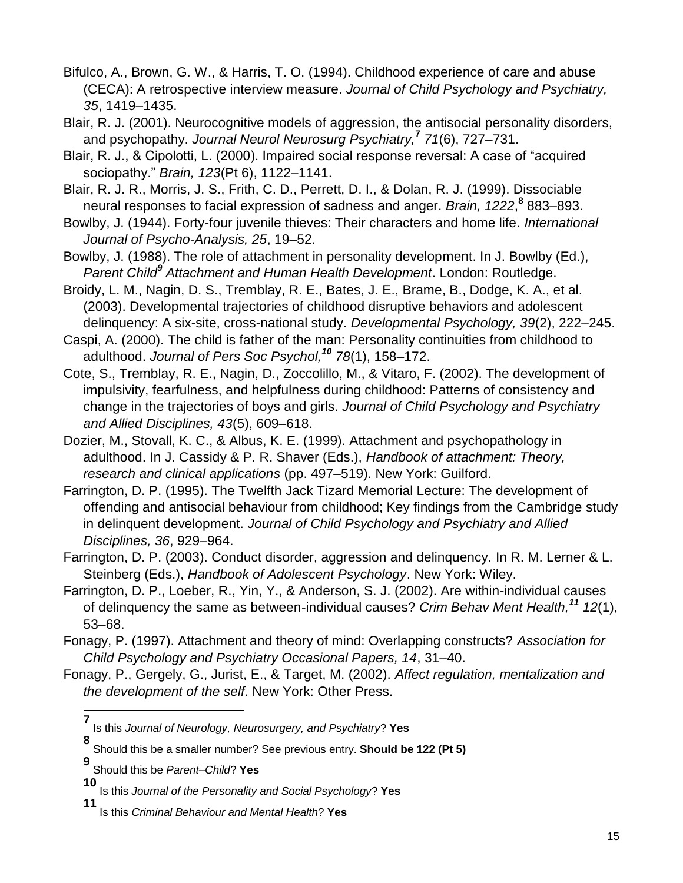- Bifulco, A., Brown, G. W., & Harris, T. O. (1994). Childhood experience of care and abuse (CECA): A retrospective interview measure. *Journal of Child Psychology and Psychiatry, 35*, 1419–1435.
- Blair, R. J. (2001). Neurocognitive models of aggression, the antisocial personality disorders, and psychopathy. *Journal Neurol Neurosurg Psychiatry,***<sup>7</sup>** *71*(6), 727–731.
- Blair, R. J., & Cipolotti, L. (2000). Impaired social response reversal: A case of "acquired sociopathy." *Brain, 123*(Pt 6), 1122–1141.
- Blair, R. J. R., Morris, J. S., Frith, C. D., Perrett, D. I., & Dolan, R. J. (1999). Dissociable neural responses to facial expression of sadness and anger. *Brain, 1222*, **8** 883–893.
- Bowlby, J. (1944). Forty-four juvenile thieves: Their characters and home life. *International Journal of Psycho-Analysis, 25*, 19–52.
- Bowlby, J. (1988). The role of attachment in personality development. In J. Bowlby (Ed.), *Parent Child<sup>9</sup> Attachment and Human Health Development*. London: Routledge.
- Broidy, L. M., Nagin, D. S., Tremblay, R. E., Bates, J. E., Brame, B., Dodge, K. A., et al. (2003). Developmental trajectories of childhood disruptive behaviors and adolescent delinquency: A six-site, cross-national study. *Developmental Psychology, 39*(2), 222–245.
- Caspi, A. (2000). The child is father of the man: Personality continuities from childhood to adulthood. *Journal of Pers Soc Psychol,<sup>10</sup> 78*(1), 158–172.
- Cote, S., Tremblay, R. E., Nagin, D., Zoccolillo, M., & Vitaro, F. (2002). The development of impulsivity, fearfulness, and helpfulness during childhood: Patterns of consistency and change in the trajectories of boys and girls. *Journal of Child Psychology and Psychiatry and Allied Disciplines, 43*(5), 609–618.
- Dozier, M., Stovall, K. C., & Albus, K. E. (1999). Attachment and psychopathology in adulthood. In J. Cassidy & P. R. Shaver (Eds.), *Handbook of attachment: Theory, research and clinical applications* (pp. 497–519). New York: Guilford.
- Farrington, D. P. (1995). The Twelfth Jack Tizard Memorial Lecture: The development of offending and antisocial behaviour from childhood; Key findings from the Cambridge study in delinquent development. *Journal of Child Psychology and Psychiatry and Allied Disciplines, 36*, 929–964.
- Farrington, D. P. (2003). Conduct disorder, aggression and delinquency. In R. M. Lerner & L. Steinberg (Eds.), *Handbook of Adolescent Psychology*. New York: Wiley.
- Farrington, D. P., Loeber, R., Yin, Y., & Anderson, S. J. (2002). Are within-individual causes of delinquency the same as between-individual causes? *Crim Behav Ment Health,<sup>11</sup> 12*(1), 53–68.
- Fonagy, P. (1997). Attachment and theory of mind: Overlapping constructs? *Association for Child Psychology and Psychiatry Occasional Papers, 14*, 31–40.
- Fonagy, P., Gergely, G., Jurist, E., & Target, M. (2002). *Affect regulation, mentalization and the development of the self*. New York: Other Press.
	- **7** Is this *Journal of Neurology, Neurosurgery, and Psychiatry*? **Yes**

**<sup>8</sup>** Should this be a smaller number? See previous entry. **Should be 122 (Pt 5)**

**<sup>9</sup>** Should this be *Parent–Child*? **Yes**

**<sup>10</sup>** Is this *Journal of the Personality and Social Psychology*? **Yes**

**<sup>11</sup>** Is this *Criminal Behaviour and Mental Health*? **Yes**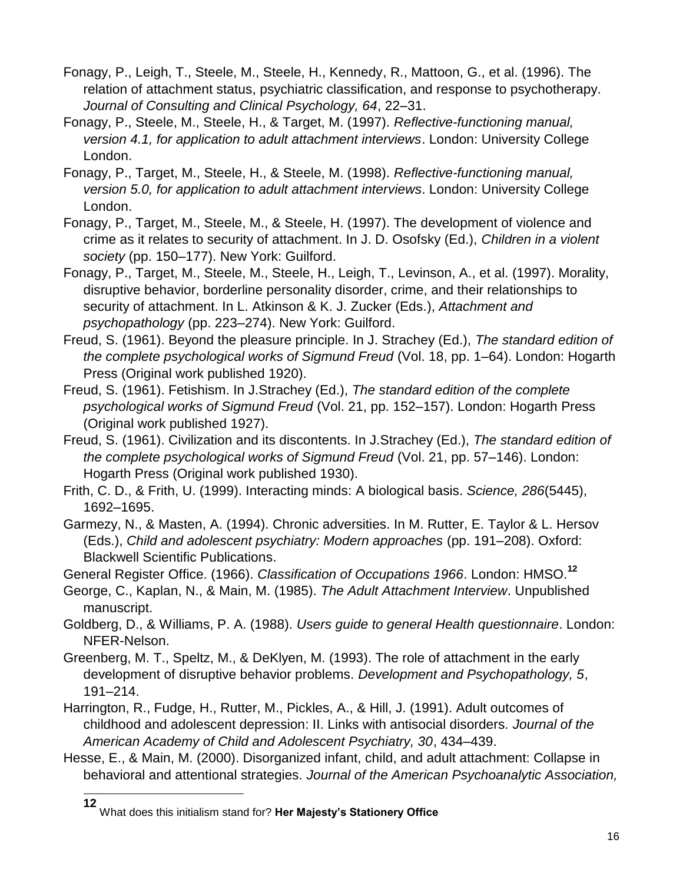- Fonagy, P., Leigh, T., Steele, M., Steele, H., Kennedy, R., Mattoon, G., et al. (1996). The relation of attachment status, psychiatric classification, and response to psychotherapy. *Journal of Consulting and Clinical Psychology, 64*, 22–31.
- Fonagy, P., Steele, M., Steele, H., & Target, M. (1997). *Reflective-functioning manual, version 4.1, for application to adult attachment interviews*. London: University College London.
- Fonagy, P., Target, M., Steele, H., & Steele, M. (1998). *Reflective-functioning manual, version 5.0, for application to adult attachment interviews*. London: University College London.
- Fonagy, P., Target, M., Steele, M., & Steele, H. (1997). The development of violence and crime as it relates to security of attachment. In J. D. Osofsky (Ed.), *Children in a violent society* (pp. 150–177). New York: Guilford.
- Fonagy, P., Target, M., Steele, M., Steele, H., Leigh, T., Levinson, A., et al. (1997). Morality, disruptive behavior, borderline personality disorder, crime, and their relationships to security of attachment. In L. Atkinson & K. J. Zucker (Eds.), *Attachment and psychopathology* (pp. 223–274). New York: Guilford.
- Freud, S. (1961). Beyond the pleasure principle. In J. Strachey (Ed.), *The standard edition of the complete psychological works of Sigmund Freud* (Vol. 18, pp. 1–64). London: Hogarth Press (Original work published 1920).
- Freud, S. (1961). Fetishism. In J.Strachey (Ed.), *The standard edition of the complete psychological works of Sigmund Freud* (Vol. 21, pp. 152–157). London: Hogarth Press (Original work published 1927).
- Freud, S. (1961). Civilization and its discontents. In J.Strachey (Ed.), *The standard edition of the complete psychological works of Sigmund Freud* (Vol. 21, pp. 57–146). London: Hogarth Press (Original work published 1930).
- Frith, C. D., & Frith, U. (1999). Interacting minds: A biological basis. *Science, 286*(5445), 1692–1695.
- Garmezy, N., & Masten, A. (1994). Chronic adversities. In M. Rutter, E. Taylor & L. Hersov (Eds.), *Child and adolescent psychiatry: Modern approaches* (pp. 191–208). Oxford: Blackwell Scientific Publications.

General Register Office. (1966). *Classification of Occupations 1966*. London: HMSO.**<sup>12</sup>**

- George, C., Kaplan, N., & Main, M. (1985). *The Adult Attachment Interview*. Unpublished manuscript.
- Goldberg, D., & Williams, P. A. (1988). *Users guide to general Health questionnaire*. London: NFER-Nelson.
- Greenberg, M. T., Speltz, M., & DeKlyen, M. (1993). The role of attachment in the early development of disruptive behavior problems. *Development and Psychopathology, 5*, 191–214.
- Harrington, R., Fudge, H., Rutter, M., Pickles, A., & Hill, J. (1991). Adult outcomes of childhood and adolescent depression: II. Links with antisocial disorders. *Journal of the American Academy of Child and Adolescent Psychiatry, 30*, 434–439.
- Hesse, E., & Main, M. (2000). Disorganized infant, child, and adult attachment: Collapse in behavioral and attentional strategies. *Journal of the American Psychoanalytic Association,*

**<sup>12</sup>** What does this initialism stand for? **Her Majesty's Stationery Office**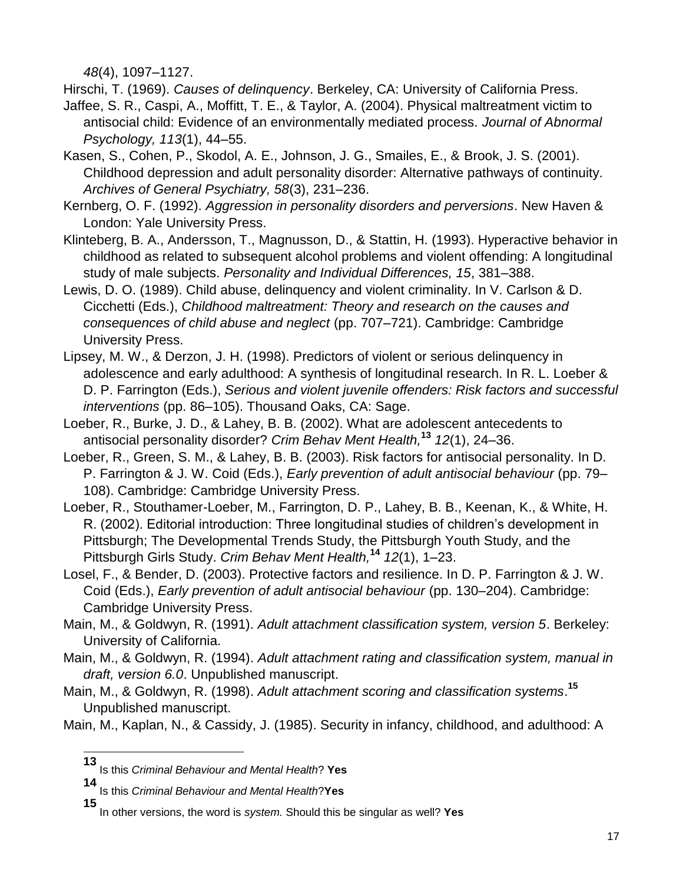*48*(4), 1097–1127.

Hirschi, T. (1969). *Causes of delinquency*. Berkeley, CA: University of California Press.

- Jaffee, S. R., Caspi, A., Moffitt, T. E., & Taylor, A. (2004). Physical maltreatment victim to antisocial child: Evidence of an environmentally mediated process. *Journal of Abnormal Psychology, 113*(1), 44–55.
- Kasen, S., Cohen, P., Skodol, A. E., Johnson, J. G., Smailes, E., & Brook, J. S. (2001). Childhood depression and adult personality disorder: Alternative pathways of continuity. *Archives of General Psychiatry, 58*(3), 231–236.
- Kernberg, O. F. (1992). *Aggression in personality disorders and perversions*. New Haven & London: Yale University Press.
- Klinteberg, B. A., Andersson, T., Magnusson, D., & Stattin, H. (1993). Hyperactive behavior in childhood as related to subsequent alcohol problems and violent offending: A longitudinal study of male subjects. *Personality and Individual Differences, 15*, 381–388.
- Lewis, D. O. (1989). Child abuse, delinquency and violent criminality. In V. Carlson & D. Cicchetti (Eds.), *Childhood maltreatment: Theory and research on the causes and consequences of child abuse and neglect* (pp. 707–721). Cambridge: Cambridge University Press.
- Lipsey, M. W., & Derzon, J. H. (1998). Predictors of violent or serious delinquency in adolescence and early adulthood: A synthesis of longitudinal research. In R. L. Loeber & D. P. Farrington (Eds.), *Serious and violent juvenile offenders: Risk factors and successful interventions* (pp. 86–105). Thousand Oaks, CA: Sage.
- Loeber, R., Burke, J. D., & Lahey, B. B. (2002). What are adolescent antecedents to antisocial personality disorder? *Crim Behav Ment Health,***<sup>13</sup>** *12*(1), 24–36.
- Loeber, R., Green, S. M., & Lahey, B. B. (2003). Risk factors for antisocial personality. In D. P. Farrington & J. W. Coid (Eds.), *Early prevention of adult antisocial behaviour* (pp. 79– 108). Cambridge: Cambridge University Press.
- Loeber, R., Stouthamer-Loeber, M., Farrington, D. P., Lahey, B. B., Keenan, K., & White, H. R. (2002). Editorial introduction: Three longitudinal studies of children's development in Pittsburgh; The Developmental Trends Study, the Pittsburgh Youth Study, and the Pittsburgh Girls Study. *Crim Behav Ment Health,***<sup>14</sup>** *12*(1), 1–23.
- Losel, F., & Bender, D. (2003). Protective factors and resilience. In D. P. Farrington & J. W. Coid (Eds.), *Early prevention of adult antisocial behaviour* (pp. 130–204). Cambridge: Cambridge University Press.
- Main, M., & Goldwyn, R. (1991). *Adult attachment classification system, version 5*. Berkeley: University of California.
- Main, M., & Goldwyn, R. (1994). *Adult attachment rating and classification system, manual in draft, version 6.0*. Unpublished manuscript.
- Main, M., & Goldwyn, R. (1998). *Adult attachment scoring and classification systems*. **15** Unpublished manuscript.
- Main, M., Kaplan, N., & Cassidy, J. (1985). Security in infancy, childhood, and adulthood: A

**<sup>13</sup>** Is this *Criminal Behaviour and Mental Health*? **Yes**

**<sup>14</sup>** Is this *Criminal Behaviour and Mental Health*?**Yes**

**<sup>15</sup>** In other versions, the word is *system.* Should this be singular as well? **Yes**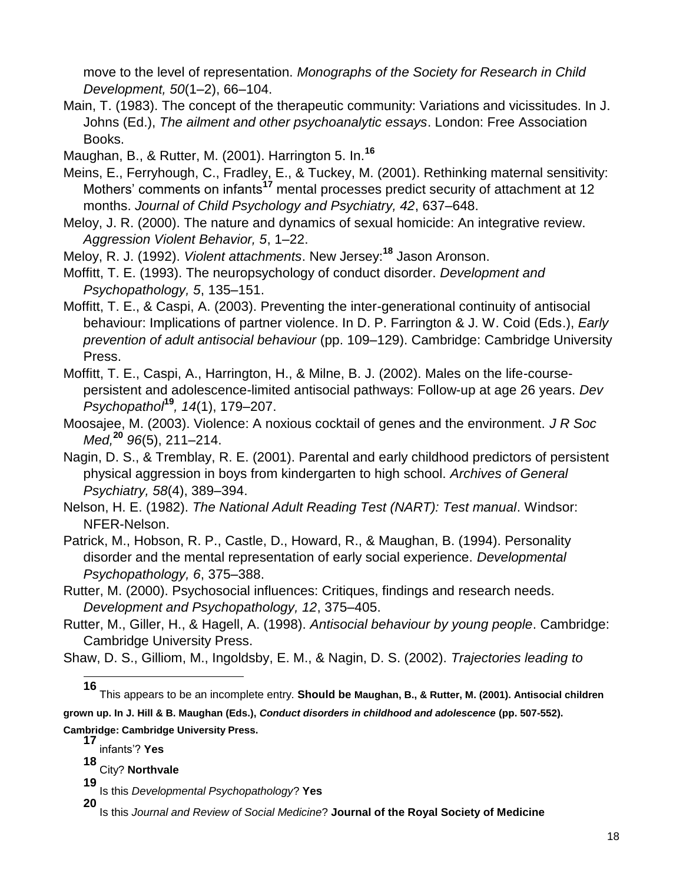move to the level of representation. *Monographs of the Society for Research in Child Development, 50*(1–2), 66–104.

Main, T. (1983). The concept of the therapeutic community: Variations and vicissitudes. In J. Johns (Ed.), *The ailment and other psychoanalytic essays*. London: Free Association Books.

Maughan, B., & Rutter, M. (2001). Harrington 5. In.**<sup>16</sup>**

- Meins, E., Ferryhough, C., Fradley, E., & Tuckey, M. (2001). Rethinking maternal sensitivity: Mothers' comments on infants**<sup>17</sup>** mental processes predict security of attachment at 12 months. *Journal of Child Psychology and Psychiatry, 42*, 637–648.
- Meloy, J. R. (2000). The nature and dynamics of sexual homicide: An integrative review. *Aggression Violent Behavior, 5*, 1–22.

Meloy, R. J. (1992). *Violent attachments*. New Jersey:**<sup>18</sup>** Jason Aronson.

- Moffitt, T. E. (1993). The neuropsychology of conduct disorder. *Development and Psychopathology, 5*, 135–151.
- Moffitt, T. E., & Caspi, A. (2003). Preventing the inter-generational continuity of antisocial behaviour: Implications of partner violence. In D. P. Farrington & J. W. Coid (Eds.), *Early prevention of adult antisocial behaviour* (pp. 109–129). Cambridge: Cambridge University Press.
- Moffitt, T. E., Caspi, A., Harrington, H., & Milne, B. J. (2002). Males on the life-coursepersistent and adolescence-limited antisocial pathways: Follow-up at age 26 years. *Dev Psychopathol***<sup>19</sup>***, 14*(1), 179–207.

Moosajee, M. (2003). Violence: A noxious cocktail of genes and the environment. *J R Soc Med,***<sup>20</sup>** *96*(5), 211–214.

Nagin, D. S., & Tremblay, R. E. (2001). Parental and early childhood predictors of persistent physical aggression in boys from kindergarten to high school. *Archives of General Psychiatry, 58*(4), 389–394.

Nelson, H. E. (1982). *The National Adult Reading Test (NART): Test manual*. Windsor: NFER-Nelson.

Patrick, M., Hobson, R. P., Castle, D., Howard, R., & Maughan, B. (1994). Personality disorder and the mental representation of early social experience. *Developmental Psychopathology, 6*, 375–388.

Rutter, M. (2000). Psychosocial influences: Critiques, findings and research needs. *Development and Psychopathology, 12*, 375–405.

Rutter, M., Giller, H., & Hagell, A. (1998). *Antisocial behaviour by young people*. Cambridge: Cambridge University Press.

Shaw, D. S., Gilliom, M., Ingoldsby, E. M., & Nagin, D. S. (2002). *Trajectories leading to* 

l

**16** This appears to be an incomplete entry. **Should be Maughan, B., & Rutter, M. (2001). Antisocial children grown up. In J. Hill & B. Maughan (Eds.),** *Conduct disorders in childhood and adolescence* **(pp. 507-552). Cambridge: Cambridge University Press.**

**17** infants'? **Yes**

**18** City? **Northvale**

**<sup>19</sup>** Is this *Developmental Psychopathology*? **Yes**

**<sup>20</sup>** Is this *Journal and Review of Social Medicine*? **Journal of the Royal Society of Medicine**